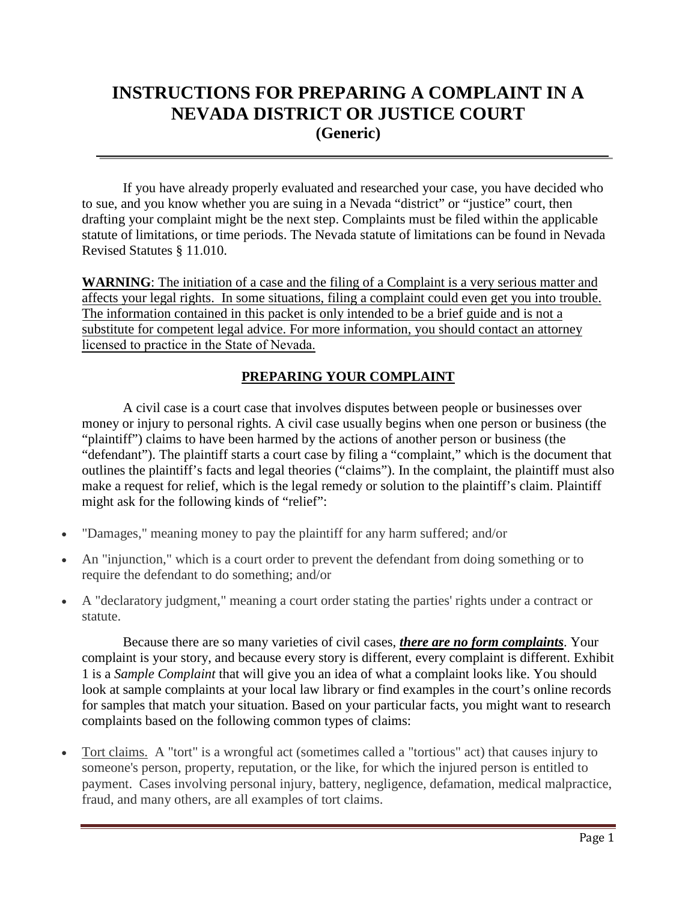# **INSTRUCTIONS FOR PREPARING A COMPLAINT IN A NEVADA DISTRICT OR JUSTICE COURT (Generic)**

If you have already properly evaluated and researched your case, you have decided who to sue, and you know whether you are suing in a Nevada "district" or "justice" court, then drafting your complaint might be the next step. Complaints must be filed within the applicable statute of limitations, or time periods. The Nevada statute of limitations can be found in Nevada Revised Statutes § 11.010.

**WARNING**: The initiation of a case and the filing of a Complaint is a very serious matter and affects your legal rights. In some situations, filing a complaint could even get you into trouble. The information contained in this packet is only intended to be a brief guide and is not a substitute for competent legal advice. For more information, you should contact an attorney licensed to practice in the State of Nev[ada.](http://www.civillawselfhelpcenter.org/)

### **PREPARING YOUR COMPLAINT**

A civil case is a court case that involves disputes between people or businesses over money or injury to personal rights. A civil case usually begins when one person or business (the "plaintiff") claims to have been harmed by the actions of another person or business (the "defendant"). The plaintiff starts a court case by filing a "complaint," which is the document that outlines the plaintiff's facts and legal theories ("claims"). In the complaint, the plaintiff must also make a request for relief, which is the legal remedy or solution to the plaintiff's claim. Plaintiff might ask for the following kinds of "relief":

- "Damages," meaning money to pay the plaintiff for any harm suffered; and/or
- An "injunction," which is a court order to prevent the defendant from doing something or to require the defendant to do something; and/or
- A "declaratory judgment," meaning a court order stating the parties' rights under a contract or statute.

Because there are so many varieties of civil cases, *there are no form complaints*. Your complaint is your story, and because every story is different, every complaint is different. Exhibit 1 is a *Sample Complaint* that will give you an idea of what a complaint looks like. You should look at sample complaints at your local law library or find examples in the court's online records for samples that match your situation. Based on your particular facts, you might want to research complaints based on the following common types of claims:

• Tort claims. A "tort" is a wrongful act (sometimes called a "tortious" act) that causes injury to someone's person, property, reputation, or the like, for which the injured person is entitled to payment. Cases involving personal injury, battery, negligence, defamation, medical malpractice, fraud, and many others, are all examples of tort claims.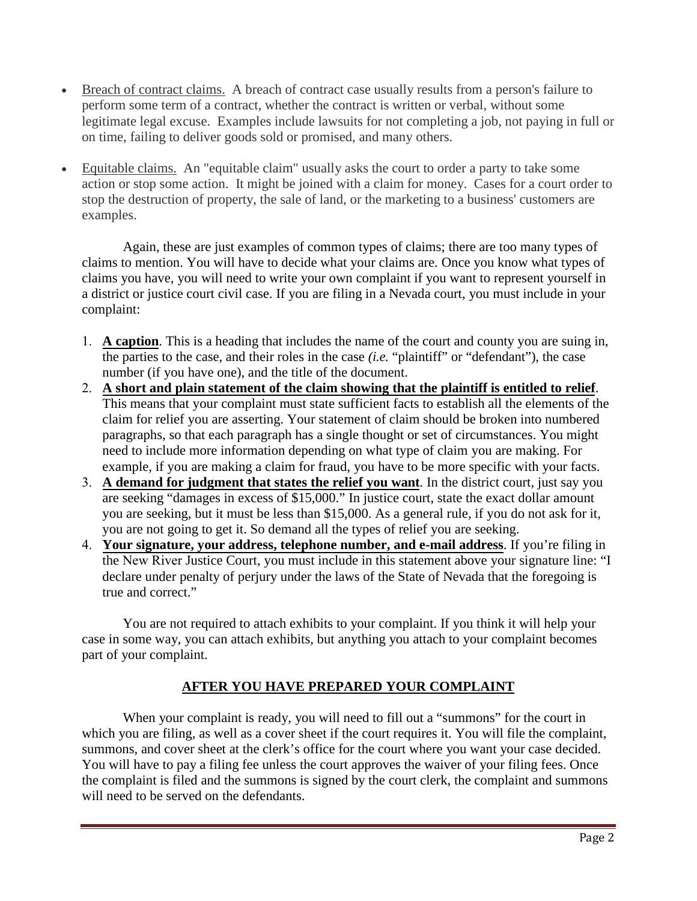- Breach of contract claims. A breach of contract case usually results from a person's failure to perform some term of a contract, whether the contract is written or verbal, without some legitimate legal excuse. Examples include lawsuits for not completing a job, not paying in full or on time, failing to deliver goods sold or promised, and many others.
- Equitable claims. An "equitable claim" usually asks the court to order a party to take some action or stop some action. It might be joined with a claim for money. Cases for a court order to stop the destruction of property, the sale of land, or the marketing to a business' customers are examples.

Again, these are just examples of common types of claims; there are too many types of claims to mention. You will have to decide what your claims are. Once you know what types of claims you have, you will need to write your own complaint if you want to represent yourself in a district or justice court civil case. If you are filing in a Nevada court, you must include in your complaint:

- 1. **A caption**. This is a heading that includes the name of the court and county you are suing in, the parties to the case, and their roles in the case *(i.e.* "plaintiff" or "defendant"), the case number (if you have one), and the title of the document.
- 2. **A short and plain statement of the claim showing that the plaintiff is entitled to relief**. This means that your complaint must state sufficient facts to establish all the elements of the claim for relief you are asserting. Your statement of claim should be broken into numbered paragraphs, so that each paragraph has a single thought or set of circumstances. You might need to include more information depending on what type of claim you are making. For example, if you are making a claim for fraud, you have to be more specific with your facts.
- 3. **A demand for judgment that states the relief you want**. In the district court, just say you are seeking "damages in excess of \$15,000." In justice court, state the exact dollar amount you are seeking, but it must be less than \$15,000. As a general rule, if you do not ask for it, you are not going to get it. So demand all the types of relief you are seeking.
- 4. **Your signature, your address, telephone number, and e-mail address**. If you're filing in the New River Justice Court, you must include in this statement above your signature line: "I declare under penalty of perjury under the laws of the State of Nevada that the foregoing is true and correct."

You are not required to attach exhibits to your complaint. If you think it will help your case in some way, you can attach exhibits, but anything you attach to your complaint becomes part of your complaint.

## **AFTER YOU HAVE PREPARED YOUR COMPLAINT**

When your complaint is ready, you will need to fill out a "summons" for the court in which you are filing, as well as a cover sheet if the court requires it. You will file the complaint, summons, and cover sheet at the clerk's office for the court where you want your case decided. You will have to pay a filing fee unless the court approves the waiver of your filing fees. Once the complaint is filed and the summons is signed by the court clerk, the complaint and summons will need to be served on the defendants.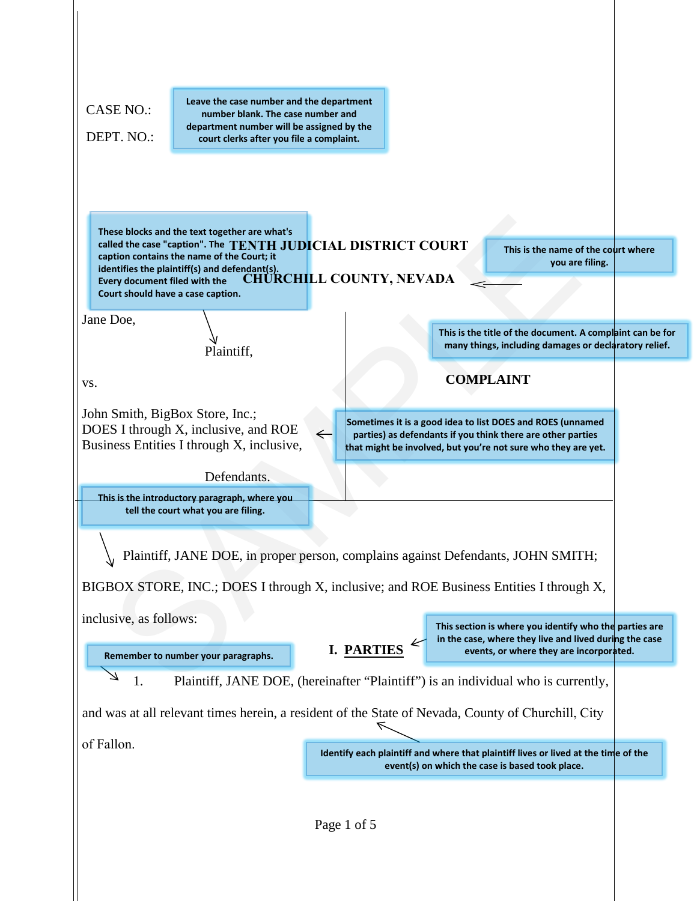| <b>CASE NO.:</b><br>DEPT. NO.:                                     | Leave the case number and the department<br>number blank. The case number and<br>department number will be assigned by the<br>court clerks after you file a complaint.                                       |                                 |                                                                                                                                                                                            |
|--------------------------------------------------------------------|--------------------------------------------------------------------------------------------------------------------------------------------------------------------------------------------------------------|---------------------------------|--------------------------------------------------------------------------------------------------------------------------------------------------------------------------------------------|
| Every document filed with the<br>Court should have a case caption. | These blocks and the text together are what's<br>called the case "caption". The TENTH JUDICIAL DISTRICT COURT<br>caption contains the name of the Court; it<br>identifies the plaintiff(s) and defendant(s). | <b>CHURCHILL COUNTY, NEVADA</b> | This is the name of the court where<br>you are filing.                                                                                                                                     |
| Jane Doe,                                                          |                                                                                                                                                                                                              |                                 | This is the title of the document. A complaint can be for                                                                                                                                  |
|                                                                    | Plaintiff,                                                                                                                                                                                                   |                                 | many things, including damages or declaratory relief.<br><b>COMPLAINT</b>                                                                                                                  |
| VS.                                                                |                                                                                                                                                                                                              |                                 |                                                                                                                                                                                            |
|                                                                    | DOES I through X, inclusive, and ROE<br>Business Entities I through X, inclusive,<br>Defendants.<br>This is the introductory paragraph, where you                                                            | $\leftarrow$                    | Sometimes it is a good idea to list DOES and ROES (unnamed<br>parties) as defendants if you think there are other parties<br>that might be involved, but you're not sure who they are yet. |
|                                                                    | tell the court what you are filing.                                                                                                                                                                          |                                 |                                                                                                                                                                                            |
|                                                                    |                                                                                                                                                                                                              |                                 | Plaintiff, JANE DOE, in proper person, complains against Defendants, JOHN SMITH;                                                                                                           |
|                                                                    |                                                                                                                                                                                                              |                                 | BIGBOX STORE, INC.; DOES I through X, inclusive; and ROE Business Entities I through X,                                                                                                    |
| inclusive, as follows:                                             |                                                                                                                                                                                                              |                                 | This section is where you identify who the parties are<br>in the case, where they live and lived during the case                                                                           |
|                                                                    |                                                                                                                                                                                                              |                                 |                                                                                                                                                                                            |
|                                                                    | Remember to number your paragraphs.                                                                                                                                                                          | I. PARTIES                      | events, or where they are incorporated.                                                                                                                                                    |
| 1.                                                                 |                                                                                                                                                                                                              |                                 | Plaintiff, JANE DOE, (hereinafter "Plaintiff") is an individual who is currently,                                                                                                          |
|                                                                    |                                                                                                                                                                                                              |                                 | and was at all relevant times herein, a resident of the State of Nevada, County of Churchill, City                                                                                         |
| of Fallon.                                                         |                                                                                                                                                                                                              |                                 | Identify each plaintiff and where that plaintiff lives or lived at the time of the<br>event(s) on which the case is based took place.                                                      |
|                                                                    |                                                                                                                                                                                                              | Page 1 of 5                     |                                                                                                                                                                                            |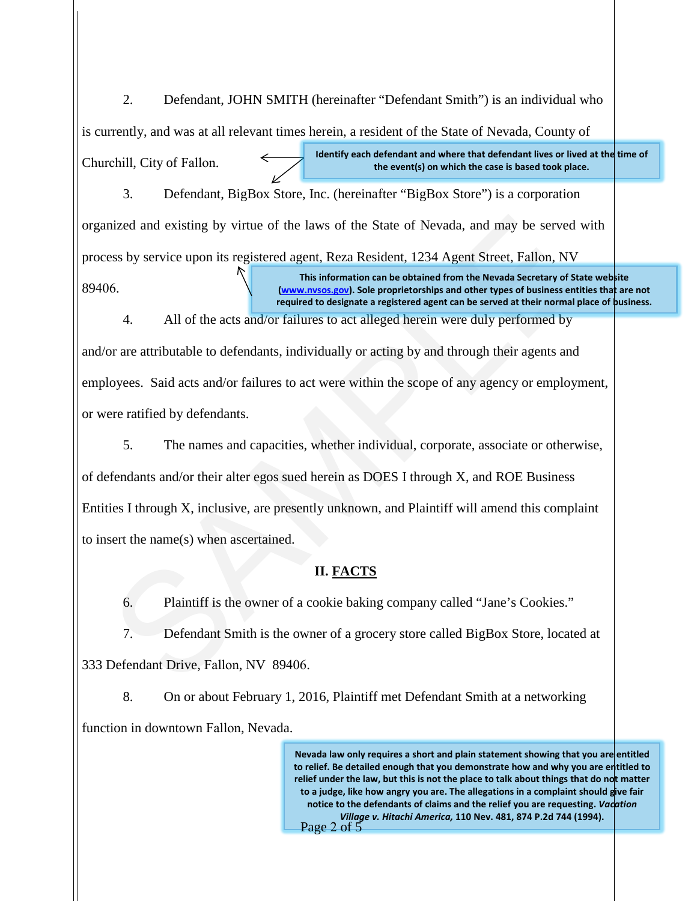2. Defendant, JOHN SMITH (hereinafter "Defendant Smith") is an individual who is currently, and was at all relevant times herein, a resident of the State of Nevada, County of Churchill, City of Fallon. **Identify each defendant and where that defendant lives or lived at the time of the event(s) on which the case is based took place.**

3. Defendant, BigBox Store, Inc. (hereinafter "BigBox Store") is a corporation organized and existing by virtue of the laws of the State of Nevada, and may be served with process by service upon its registered agent, Reza Resident, 1234 Agent Street, Fallon, NV 89406. **This information can be obtained from the Nevada Secretary of State website (www.nvsos.gov). Sole proprietorships and other types of business entities that are not required to designate a registered agent can be served at their normal place of business.**

4. All of the acts and/or failures to act alleged herein were duly performed by and/or are attributable to defendants, individually or acting by and through their agents and employees. Said acts and/or failures to act were within the scope of any agency or employment, or were ratified by defendants.

inized and existing by virtue of the laws of the State of Nevada, and may be served version of the State of Nevada, and may be served version of the State Street, Fallon, NV this information can be obtained from the Nevada 5. The names and capacities, whether individual, corporate, associate or otherwise, of defendants and/or their alter egos sued herein as DOES I through X, and ROE Business Entities I through X, inclusive, are presently unknown, and Plaintiff will amend this complaint to insert the name(s) when ascertained.

#### **II. FACTS**

6. Plaintiff is the owner of a cookie baking company called "Jane's Cookies."

7. Defendant Smith is the owner of a grocery store called BigBox Store, located at

333 Defendant Drive, Fallon, NV 89406.

8. On or about February 1, 2016, Plaintiff met Defendant Smith at a networking function in downtown Fallon, Nevada.

> Nevada law only requires a short and plain statement showing that you are entitled **to relief. Be detailed enough that you demonstrate how and why you are entitled to**  relief under the law, but this is not the place to talk about things that do not matter **to a judge, like how angry you are. The allegations in a complaint should give fair notice to the defendants of claims and the relief you are requesting.** *Vacation Village v. Hitachi America,* **110 Nev. 481, 874 P.2d 744 (1994).** Page 2 of 5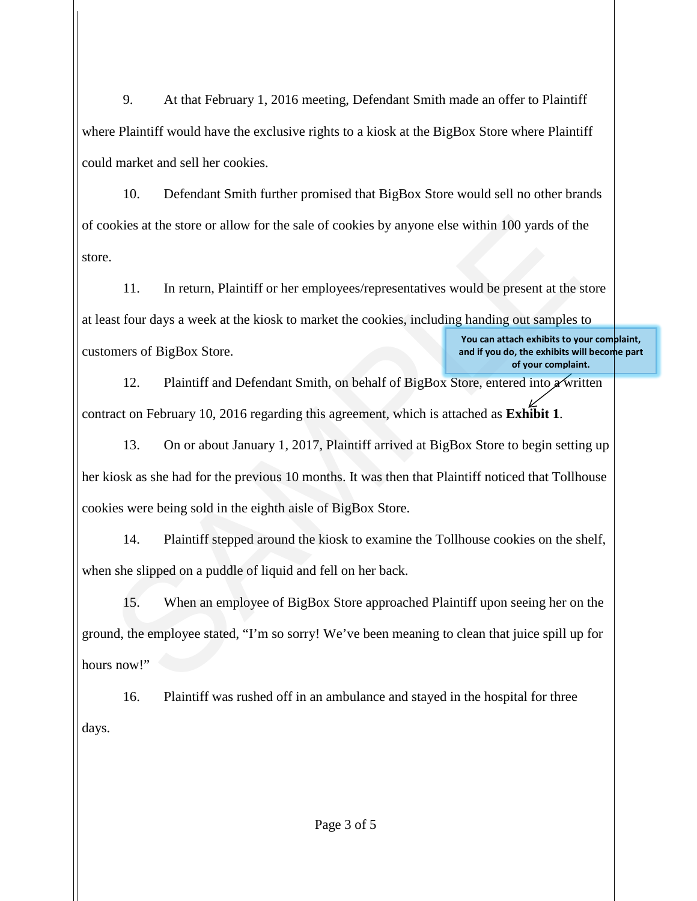9. At that February 1, 2016 meeting, Defendant Smith made an offer to Plaintiff where Plaintiff would have the exclusive rights to a kiosk at the BigBox Store where Plaintiff could market and sell her cookies.

10. Defendant Smith further promised that BigBox Store would sell no other brands of cookies at the store or allow for the sale of cookies by anyone else within 100 yards of the store.

11. In return, Plaintiff or her employees/representatives would be present at the store at least four days a week at the kiosk to market the cookies, including handing out samples to customers of BigBox Store. **You can attach exhibits to your complaint, and if you do, the exhibits will become part of your complaint.**

12. Plaintiff and Defendant Smith, on behalf of BigBox Store, entered into  $\chi$  written contract on February 10, 2016 regarding this agreement, which is attached as **Exhibit 1**.

okies at the store or allow for the sale of cookies by anyone else within 100 yards of th<br>
11. In return, Plaintiff or her employees/representatives would be present at the set<br>
11. In return, Plaintiff or her employees/re 13. On or about January 1, 2017, Plaintiff arrived at BigBox Store to begin setting up her kiosk as she had for the previous 10 months. It was then that Plaintiff noticed that Tollhouse cookies were being sold in the eighth aisle of BigBox Store.

14. Plaintiff stepped around the kiosk to examine the Tollhouse cookies on the shelf, when she slipped on a puddle of liquid and fell on her back.

15. When an employee of BigBox Store approached Plaintiff upon seeing her on the ground, the employee stated, "I'm so sorry! We've been meaning to clean that juice spill up for hours now!"

16. Plaintiff was rushed off in an ambulance and stayed in the hospital for three days.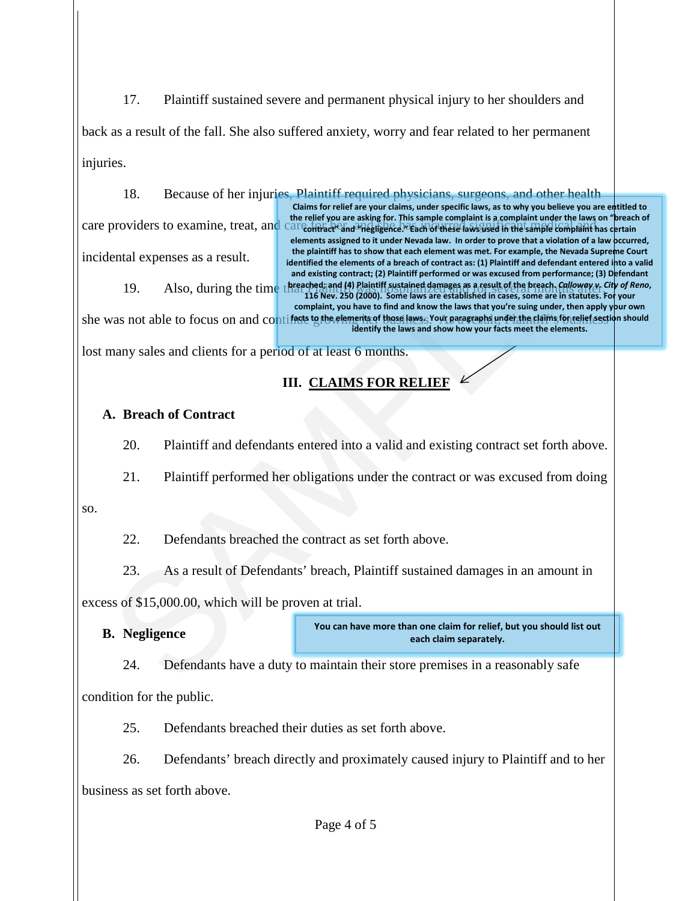17. Plaintiff sustained severe and permanent physical injury to her shoulders and

back as a result of the fall. She also suffered anxiety, worry and fear related to her permanent injuries.

18. Because of her injuries, Plaintiff required physicians, surgeons, and other health

care providers to examine, treat, and care of the esting for this sample complaint is complaint medical and on plead

incidental expenses as a result.

providers to examine, treat, and the relative are assigned to the end the relative and the relative and the relative and the relative the relative to the contract the permetter of the contract the permetter of the contrac 19. Also, during the time threached; and (4) Plaintiff sustained damages as a result of the breach. *Calloway v. City of Reno*, **the plaintiff has to show that each element was met. For example, the Nevada Supreme Court** identified the elements of a breach of contract as: (1) Plaintiff and defendant entered into a valid **and existing contract; (2) Plaintiff performed or was excused from performance; (3) Defendant 116 Nev. 250 (2000). Some laws are established in cases, some are in statutes. For your complaint, you have to find and know the laws that you're suing under, then apply your own** 

**Claims for relief are your claims, under specific laws, as to why you believe you are entitled to the relief you are asking for. This sample complaint is a complaint under the laws on "breach of elements assigned to it under Nevada law. In order to prove that a violation of a law occurred,** 

she was not able to focus on and contif<del>icity to the elements of those laws.</del> Your paragraphs under the claims for relief section should **identify the laws and show how your facts meet the elements.**

lost many sales and clients for a period of at least 6 months.

## **III. CLAIMS FOR RELIEF**

## **A. Breach of Contract**

20. Plaintiff and defendants entered into a valid and existing contract set forth above.

21. Plaintiff performed her obligations under the contract or was excused from doing

so.

22. Defendants breached the contract as set forth above.

23. As a result of Defendants' breach, Plaintiff sustained damages in an amount in

excess of \$15,000.00, which will be proven at trial.

**B. Negligence**

**You can have more than one claim for relief, but you should list out each claim separately.** 

24. Defendants have a duty to maintain their store premises in a reasonably safe

condition for the public.

25. Defendants breached their duties as set forth above.

26. Defendants' breach directly and proximately caused injury to Plaintiff and to her business as set forth above.